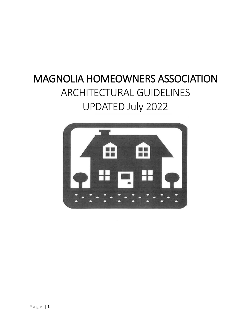# MAGNOLIA HOMEOWNERS ASSOCIATION ARCHITECTURAL GUIDELINES UPDATED July 2022

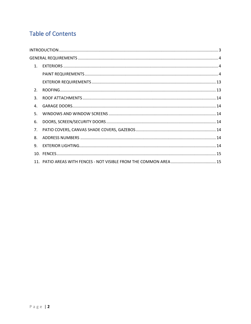## **Table of Contents**

| 1 <sub>1</sub> |  |
|----------------|--|
|                |  |
|                |  |
| 2 <sub>1</sub> |  |
| $\mathbf{R}$   |  |
| $\mathbf{4}$   |  |
| 5.             |  |
| 6.             |  |
| 7 <sub>1</sub> |  |
| 8.             |  |
| 9.             |  |
|                |  |
|                |  |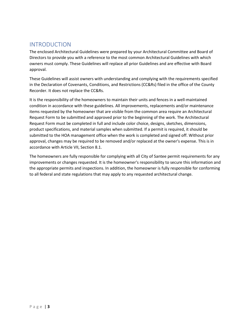### <span id="page-2-0"></span>INTRODUCTION

The enclosed Architectural Guidelines were prepared by your Architectural Committee and Board of Directors to provide you with a reference to the most common Architectural Guidelines with which owners must comply. These Guidelines will replace all prior Guidelines and are effective with Board approval.

These Guidelines will assist owners with understanding and complying with the requirements specified in the Declaration of Covenants, Conditions, and Restrictions (CC&Rs) filed in the office of the County Recorder. It does not replace the CC&Rs.

It is the responsibility of the homeowners to maintain their units and fences in a well-maintained condition in accordance with these guidelines. All improvements, replacements and/or maintenance items requested by the homeowner that are visible from the common area require an Architectural Request Form to be submitted and approved prior to the beginning of the work. The Architectural Request Form must be completed in full and include color choice, designs, sketches, dimensions, product specifications, and material samples when submitted. If a permit is required, it should be submitted to the HOA management office when the work is completed and signed off. Without prior approval, changes may be required to be removed and/or replaced at the owner's expense. This is in accordance with Article VII, Section 8.1.

The homeowners are fully responsible for complying with all City of Santee permit requirements for any improvements or changes requested. It is the homeowner's responsibility to secure this information and the appropriate permits and inspections. In addition, the homeowner is fully responsible for conforming to all federal and state regulations that may apply to any requested architectural change.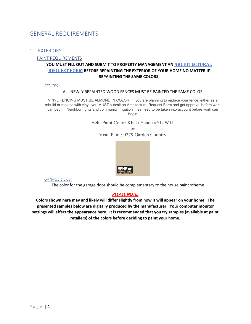### <span id="page-3-0"></span>GENERAL REQUIREMENTS

### <span id="page-3-2"></span><span id="page-3-1"></span>1. EXTERIORS

### PAINT REQUIREMENTS

### **YOU MUST FILL OUT AND SUBMIT TO PROPERTY MANAGEMENT AN [ARCHITECTURAL](http://countrysidemagnolia.com/wp-content/uploads/2016/11/Magnolia-Arch-Forms.pdf) [REQUEST](http://countrysidemagnolia.com/wp-content/uploads/2016/11/Magnolia-Arch-Forms.pdf) FORM BEFORE REPAINTING THE EXTERIOR OF YOUR HOME NO MATTER IF REPAINTING THE SAME COLORS.**

### *FENCES*

#### ALL NEWLY REPAINTED WOOD FENCES MUST BE PAINTED THE SAME COLOR

VINYL FENCING MUST BE ALMOND IN COLOR. If you are planning to replace your fence, either as a rebuild or replace with vinyl, you MUST submit an Architectural Request Form and get approval before work can begin. Neighbor rights and community irrigation lines need to be taken into account before work can begin

Behr Paint Color: Khaki Shade #YL-W11

or Vista Paint: 0279 Garden Country



### *GARAGE DOOR*

The color for the garage door should be complementary to the house paint scheme

### *PLEASE NOTE:*

**Colors shown here may and likely will differ slightly from how it will appear on your home. The presented samples below are digitally produced by the manufacturer. Your computer monitor settings will affect the appearance here. It is recommended that you try samples (available at paint retailers) of the colors before deciding to paint your home.**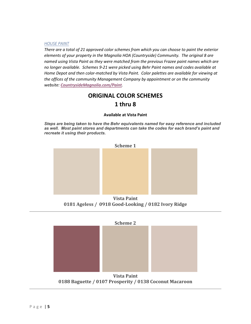#### *HOUSE PAINT*

*There are a total of 21 approved color schemes from which you can choose to paint the exterior elements of your property in the Magnolia HOA (Countryside) Community. The original 8 are named using Vista Paint as they were matched from the previous Frazee paint names which are no longer available. Schemes 9-21 were picked using Behr Paint names and codes available at Home Depot and then color-matched by Vista Paint. Color palettes are available for viewing at the offices of the community Management Company by appointment or on the community website: [CountrysideMagnolia.com/Paint](http://countrysidemagnolia.com/Paint).* 

### **ORIGINAL COLOR SCHEMES 1 thru 8**

#### **Available at Vista Paint**

*Steps are being taken to have the Behr equivalents named for easy reference and included as well. Most paint stores and departments can take the codes for each brand's paint and recreate it using their products.*



**0181 Ageless / 0918 Good-Looking / 0182 Ivory Ridge**



**0188 Baguette / 0107 Prosperity / 0138 Coconut Macaroon**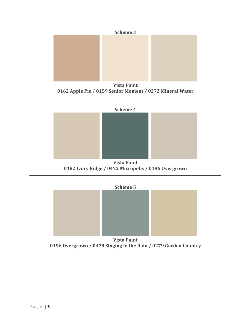

**Vista Paint 0162 Apple Pie / 0159 Senior Moment / 0272 Mineral Water**



**0182 Ivory Ridge / 0472 Micropolis / 0196 Overgrown**



**0196 Overgrown / 0478 Singing in the Rain / 0279 Garden Country**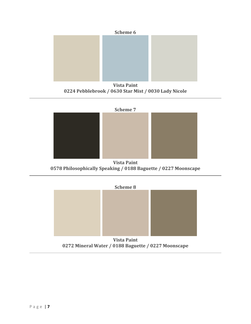

**Vista Paint 0224 Pebblebrook / 0630 Star Mist / 0030 Lady Nicole**



**Vista Paint 0578 Philosophically Speaking / 0188 Baguette / 0227 Moonscape**



**Vista Paint 0272 Mineral Water / 0188 Baguette / 0227 Moonscape**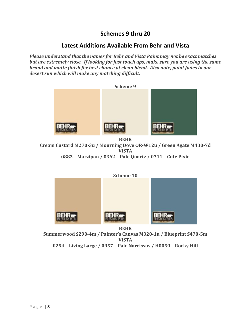### **Schemes 9 thru 20**

### **Latest Additions Available From Behr and Vista**

*Please understand that the names for Behr and Vista Paint may not be exact matches but are extremely close. If looking for just touch ups, make sure you are using the same brand and matte finish for best chance at clean blend. Also note, paint fades in our desert sun which will make any matching difficult.*



**BEHR**

**Cream Custard M270-3u / Mourning Dove OR-W12u / Green Agate M430-7d VISTA 0882 – Marzipan / 0362 – Pale Quartz / 0711 – Cute Pixie**



**0254 – Living Large / 0957 – Pale Narcissus / H0050 – Rocky Hill**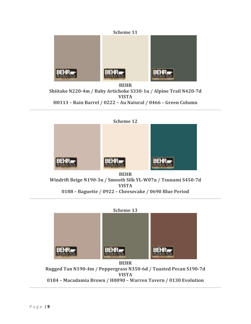

**BEHR Shiitake N220-4m / Baby Artichoke S330-1u / Alpine Trail N420-7d VISTA H0113 – Rain Barrel / 0222 – Au Natural / 0466 – Green Column**



**Windrift Beige N190-3u / Smooth Silk YL-W07u / Tsunami S450-7d VISTA 0188 – Baguette / 0922 – Cheesecake / 0690 Blue Period**



**BEHR Rugged Tan N190-4m / Peppergrass N350-6d / Toasted Pecan S190-7d VISTA 0184 – Macadamia Brown / H0090 – Warren Tavern / 0130 Evolution**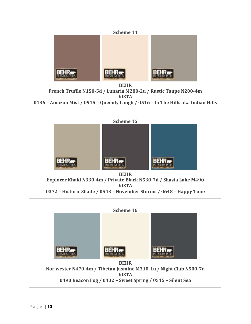

**BEHR French Truffle N150-5d / Lunaria M280-2u / Rustic Taupe N200-4m VISTA 0136 – Amazon Mist / 0915 – Queenly Laugh / 0516 – In The Hills aka Indian Hills**



**VISTA**

**0372 – Historic Shade / 0543 – November Storms / 0648 – Happy Tune**



**Nor'wester N470-4m / Tibetan Jasmine M310-1u / Night Club N500-7d VISTA 0490 Beacon Fog / 0432 – Sweet Spring / 0515 – Silent Sea**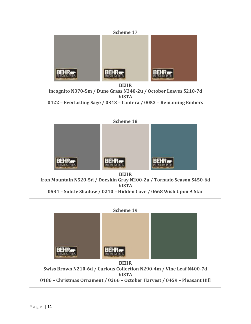

**BEHR Incognito N370-5m / Dune Grass N340-2u / October Leaves S210-7d VISTA 0422 – Everlasting Sage / 0343 – Cantera / 0053 – Remaining Embers**



**Iron Mountain N520-5d / Doeskin Gray N200-2u / Tornado Season S450-6d VISTA 0534 – Subtle Shadow / 0210 – Hidden Cove / 0668 Wish Upon A Star**



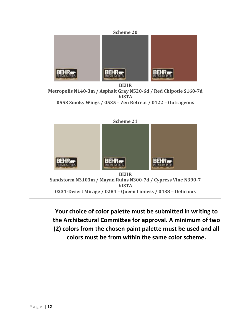

**BEHR Metropolis N140-3m / Asphalt Gray N520-6d / Red Chipotle S160-7d VISTA 0553 Smoky Wings / 0535 – Zen Retreat / 0122 – Outrageous**



**Your choice of color palette must be submitted in writing to the Architectural Committee for approval. A minimum of two (2) colors from the chosen paint palette must be used and all colors must be from within the same color scheme.**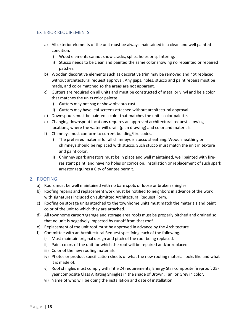### <span id="page-12-0"></span>EXTERIOR REQUIREMENTS

- a) All exterior elements of the unit must be always maintained in a clean and well painted condition.
	- i) Wood elements cannot show cracks, splits, holes or splintering.
	- ii) Stucco needs to be clean and painted the same color showing no repainted or repaired patches.
- b) Wooden decorative elements such as decorative trim may be removed and not replaced without architectural request approval. Any gaps, holes, stucco and paint repairs must be made, and color matched so the areas are not apparent.
- c) Gutters are required on all units and must be constructed of metal or vinyl and be a color that matches the units color palette.
	- i) Gutters may not sag or show obvious rust
	- ii) Gutters may have leaf screens attached without architectural approval.
- d) Downspouts must be painted a color that matches the unit's color palette.
- e) Changing downspout locations requires an approved architectural request showing locations, where the water will drain (plan drawing) and color and materials.
- f) Chimneys must conform to current building/fire codes.
	- i) The preferred material for all chimneys is stucco sheathing. Wood sheathing on chimneys should be replaced with stucco. Such stucco must match the unit in texture and paint color.
	- ii) Chimney spark arrestors must be in place and well maintained, well painted with fireresistant paint, and have no holes or corrosion. Installation or replacement of such spark arrestor requires a City of Santee permit.

### <span id="page-12-1"></span>2. ROOFING

- a) Roofs must be well maintained with no bare spots or loose or broken shingles.
- b) Roofing repairs and replacement work must be notified to neighbors in advance of the work with signatures included on submitted Architectural Request Form.
- c) Roofing on storage units attached to the townhome units must match the materials and paint color of the unit to which they are attached.
- d) All townhome carport/garage and storage area roofs must be properly pitched and drained so that no unit is negatively impacted by runoff from that roof.
- e) Replacement of the unit roof must be approved in advance by the Architecture
- f) Committee with an Architectural Request specifying each of the following.
	- i) Must maintain original design and pitch of the roof being replaced.
	- ii) Paint colors of the unit for which the roof will be repaired and/or replaced.
	- iii) Color of the new roofing materials.
	- iv) Photos or product specification sheets of what the new roofing material looks like and what it is made of.
	- v) Roof shingles must comply with Title 24 requirements, Energy Star composite fireproof: 25 year composite Class A Rating Shingles in the shade of Brown, Tan, or Grey in color.
	- vi) Name of who will be doing the installation and date of installation.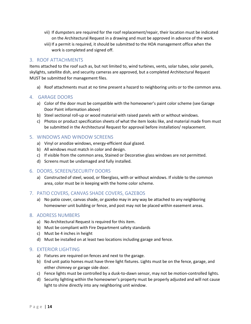- vii) If dumpsters are required for the roof replacement/repair, their location must be indicated on the Architectural Request in a drawing and must be approved in advance of the work.
- viii) If a permit is required, it should be submitted to the HOA management office when the work is completed and signed off.

### <span id="page-13-0"></span>3. ROOF ATTACHMENTS

Items attached to the roof such as, but not limited to, wind turbines, vents, solar tubes, solar panels, skylights, satellite dish, and security cameras are approved, but a completed Architectural Request MUST be submitted for management files.

a) Roof attachments must at no time present a hazard to neighboring units or to the common area.

### 4. GARAGE DOORS

- <span id="page-13-1"></span>a) Color of the door must be compatible with the homeowner's paint color scheme (see Garage Door Paint information above)
- b) Steel sectional roll-up or wood material with raised panels with or without windows.
- c) Photos or product specification sheets of what the item looks like, and material made from must be submitted in the Architectural Request for approval before installation/ replacement.

### <span id="page-13-2"></span>5. WINDOWS AND WINDOW SCREENS

- a) Vinyl or anodize windows, energy-efficient dual glazed.
- b) All windows must match in color and design.
- c) If visible from the common area, Stained or Decorative glass windows are not permitted.
- d) Screens must be undamaged and fully installed.

### <span id="page-13-3"></span>6. DOORS, SCREEN/SECURITY DOORS

a) Constructed of steel, wood, or fiberglass, with or without windows. If visible to the common area, color must be in keeping with the home color scheme.

### <span id="page-13-4"></span>7. PATIO COVERS, CANVAS SHADE COVERS, GAZEBOS

a) No patio cover, canvas shade, or gazebo may in any way be attached to any neighboring homeowner unit building or fence, and post may not be placed within easement areas.

### <span id="page-13-5"></span>8. ADDRESS NUMBERS

- a) No Architectural Request is required for this item.
- b) Must be compliant with Fire Department safety standards
- c) Must be 4 inches in height
- d) Must be installed on at least two locations including garage and fence.

### <span id="page-13-6"></span>9. EXTERIOR LIGHTING

- a) Fixtures are required on fences and next to the garage.
- b) End unit patio homes must have three light fixtures. Lights must be on the fence, garage, and either chimney or garage side door.
- c) Fence lights must be controlled by a dusk-to-dawn sensor, may not be motion-controlled lights.
- d) Security lighting within the homeowner's property must be properly adjusted and will not cause light to shine directly into any neighboring unit window.